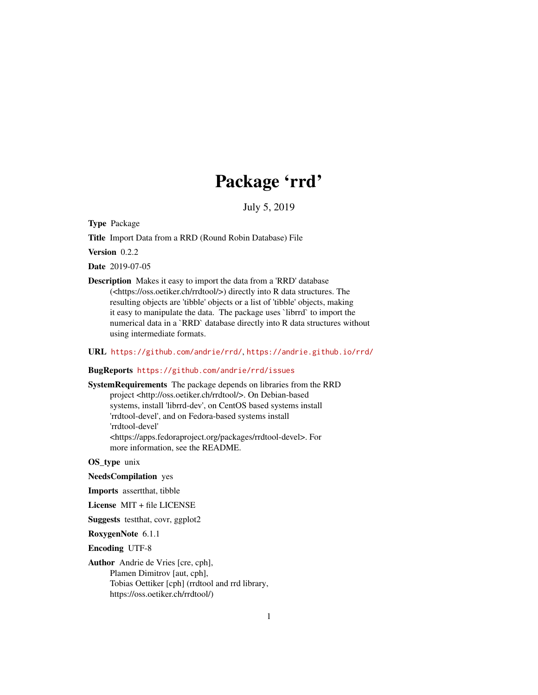## Package 'rrd'

July 5, 2019

Type Package

Title Import Data from a RRD (Round Robin Database) File

Version 0.2.2

Date 2019-07-05

Description Makes it easy to import the data from a 'RRD' database (<https://oss.oetiker.ch/rrdtool/>) directly into R data structures. The resulting objects are 'tibble' objects or a list of 'tibble' objects, making it easy to manipulate the data. The package uses `librrd` to import the numerical data in a `RRD` database directly into R data structures without using intermediate formats.

#### URL <https://github.com/andrie/rrd/>, <https://andrie.github.io/rrd/>

#### BugReports <https://github.com/andrie/rrd/issues>

SystemRequirements The package depends on libraries from the RRD project <http://oss.oetiker.ch/rrdtool/>. On Debian-based systems, install 'librrd-dev', on CentOS based systems install 'rrdtool-devel', and on Fedora-based systems install 'rrdtool-devel' <https://apps.fedoraproject.org/packages/rrdtool-devel>. For more information, see the README.

OS\_type unix

NeedsCompilation yes

Imports assertthat, tibble

License MIT + file LICENSE

Suggests testthat, covr, ggplot2

RoxygenNote 6.1.1

Encoding UTF-8

Author Andrie de Vries [cre, cph], Plamen Dimitrov [aut, cph], Tobias Oettiker [cph] (rrdtool and rrd library, https://oss.oetiker.ch/rrdtool/)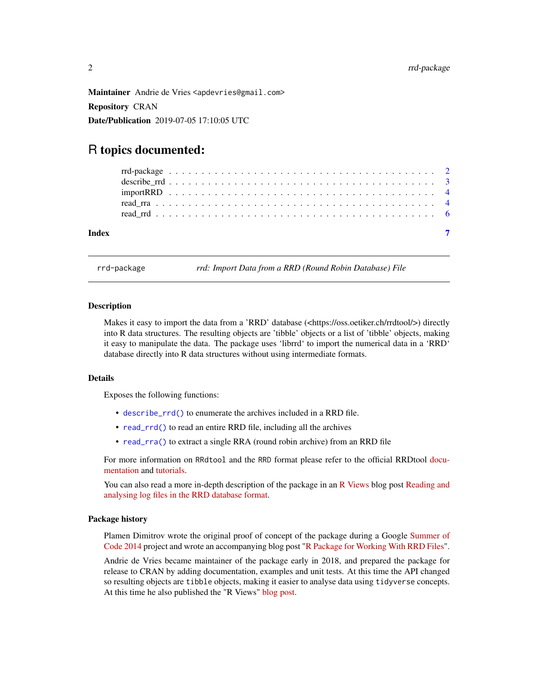<span id="page-1-0"></span>Maintainer Andrie de Vries <apdevries@gmail.com> Repository CRAN Date/Publication 2019-07-05 17:10:05 UTC

### R topics documented:

| Index |  |  |  |  |  |  |  |  |  |  |  |  |  |  |  |  |  |  |  |  |
|-------|--|--|--|--|--|--|--|--|--|--|--|--|--|--|--|--|--|--|--|--|
|       |  |  |  |  |  |  |  |  |  |  |  |  |  |  |  |  |  |  |  |  |
|       |  |  |  |  |  |  |  |  |  |  |  |  |  |  |  |  |  |  |  |  |
|       |  |  |  |  |  |  |  |  |  |  |  |  |  |  |  |  |  |  |  |  |
|       |  |  |  |  |  |  |  |  |  |  |  |  |  |  |  |  |  |  |  |  |
|       |  |  |  |  |  |  |  |  |  |  |  |  |  |  |  |  |  |  |  |  |

rrd-package *rrd: Import Data from a RRD (Round Robin Database) File*

#### **Description**

Makes it easy to import the data from a 'RRD' database (<https://oss.oetiker.ch/rrdtool/>) directly into R data structures. The resulting objects are 'tibble' objects or a list of 'tibble' objects, making it easy to manipulate the data. The package uses 'librrd' to import the numerical data in a 'RRD' database directly into R data structures without using intermediate formats.

#### Details

Exposes the following functions:

- [describe\\_rrd\(\)](#page-2-1) to enumerate the archives included in a RRD file.
- [read\\_rrd\(\)](#page-5-1) to read an entire RRD file, including all the archives
- [read\\_rra\(\)](#page-3-1) to extract a single RRA (round robin archive) from an RRD file

For more information on RRdtool and the RRD format please refer to the official RRDtool [docu](http://oss.oetiker.ch/rrdtool/doc/index.en.html)[mentation](http://oss.oetiker.ch/rrdtool/doc/index.en.html) and [tutorials.](http://oss.oetiker.ch/rrdtool/tut/index.en.html)

You can also read a more in-depth description of the package in an [R Views](https://rviews.rstudio.com/) blog post [Reading and](https://rviews.rstudio.com/2018/06/20/reading-rrd-files/) [analysing log files in the RRD database format.](https://rviews.rstudio.com/2018/06/20/reading-rrd-files/)

#### Package history

Plamen Dimitrov wrote the original proof of concept of the package during a Google [Summer of](https://www.google-melange.com/archive/gsoc/2014) [Code 2014](https://www.google-melange.com/archive/gsoc/2014) project and wrote an accompanying blog post ["R Package for Working With RRD Files"](http://plamendimitrov.net/blog/2014/08/09/r-package-for-working-with-rrd-files/).

Andrie de Vries became maintainer of the package early in 2018, and prepared the package for release to CRAN by adding documentation, examples and unit tests. At this time the API changed so resulting objects are tibble objects, making it easier to analyse data using tidyverse concepts. At this time he also published the "R Views" [blog post.](https://rviews.rstudio.com/2018/06/20/reading-rrd-files/)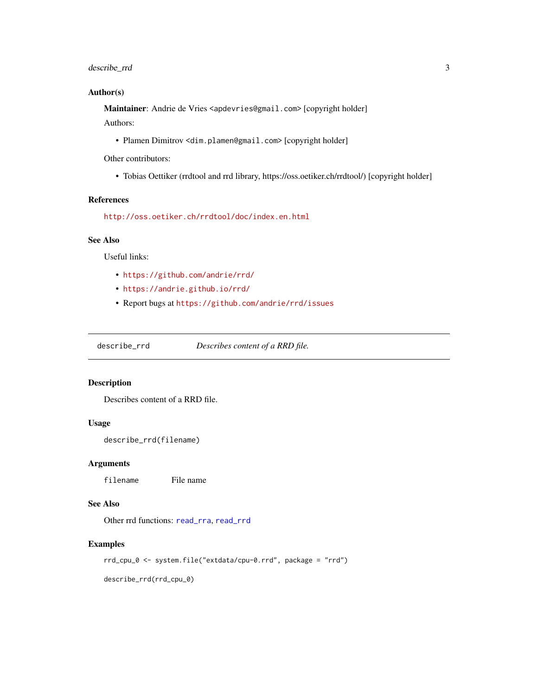#### <span id="page-2-0"></span>describe\_rrd 3

#### Author(s)

Maintainer: Andrie de Vries <apdevries@gmail.com> [copyright holder] Authors:

• Plamen Dimitrov <dim.plamen@gmail.com> [copyright holder]

Other contributors:

• Tobias Oettiker (rrdtool and rrd library, https://oss.oetiker.ch/rrdtool/) [copyright holder]

#### References

<http://oss.oetiker.ch/rrdtool/doc/index.en.html>

#### See Also

Useful links:

- <https://github.com/andrie/rrd/>
- <https://andrie.github.io/rrd/>
- Report bugs at <https://github.com/andrie/rrd/issues>

<span id="page-2-1"></span>describe\_rrd *Describes content of a RRD file.*

#### Description

Describes content of a RRD file.

#### Usage

describe\_rrd(filename)

#### Arguments

filename File name

#### See Also

Other rrd functions: [read\\_rra](#page-3-1), [read\\_rrd](#page-5-1)

#### Examples

rrd\_cpu\_0 <- system.file("extdata/cpu-0.rrd", package = "rrd")

describe\_rrd(rrd\_cpu\_0)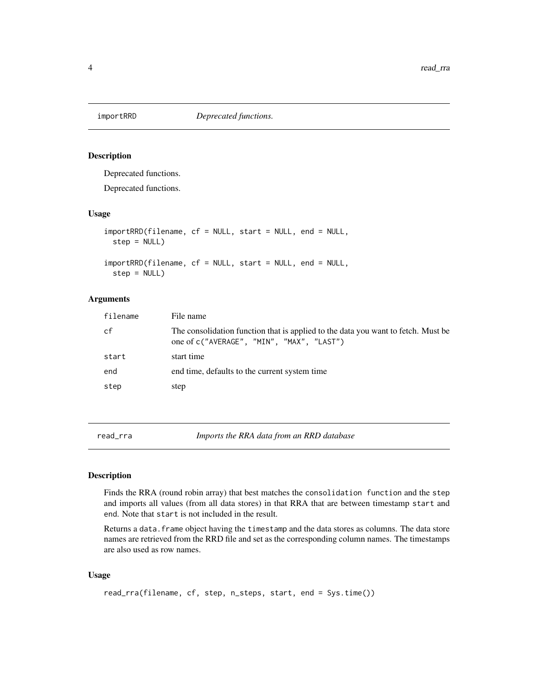<span id="page-3-0"></span>

#### Description

Deprecated functions.

Deprecated functions.

#### Usage

importRRD(filename, cf = NULL, start = NULL, end = NULL, step = NULL) importRRD(filename, cf = NULL, start = NULL, end = NULL,

step = NULL)

#### Arguments

| filename | File name                                                                                                                      |
|----------|--------------------------------------------------------------------------------------------------------------------------------|
| cf       | The consolidation function that is applied to the data you want to fetch. Must be<br>one of c("AVERAGE", "MIN", "MAX", "LAST") |
| start    | start time                                                                                                                     |
| end      | end time, defaults to the current system time                                                                                  |
| step     | step                                                                                                                           |

<span id="page-3-1"></span>read\_rra *Imports the RRA data from an RRD database*

#### Description

Finds the RRA (round robin array) that best matches the consolidation function and the step and imports all values (from all data stores) in that RRA that are between timestamp start and end. Note that start is not included in the result.

Returns a data. frame object having the timestamp and the data stores as columns. The data store names are retrieved from the RRD file and set as the corresponding column names. The timestamps are also used as row names.

#### Usage

```
read_rra(filename, cf, step, n_steps, start, end = Sys.time())
```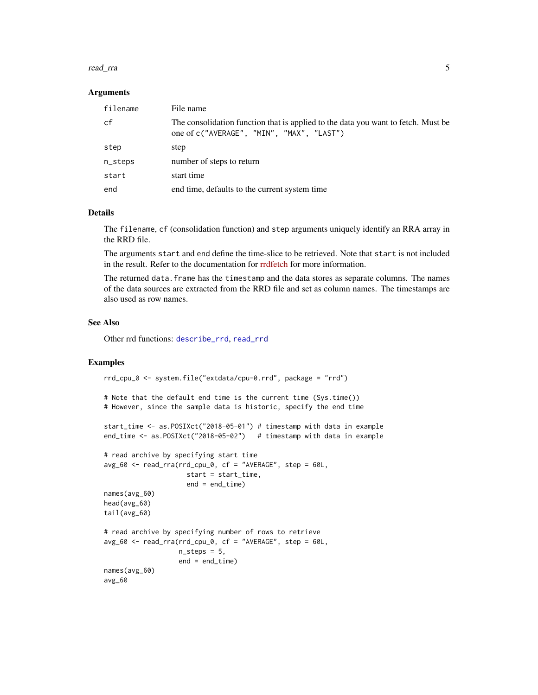#### <span id="page-4-0"></span>read\_rra 5

#### Arguments

| filename | File name                                                                                                                      |
|----------|--------------------------------------------------------------------------------------------------------------------------------|
| cf       | The consolidation function that is applied to the data you want to fetch. Must be<br>one of c("AVERAGE", "MIN", "MAX", "LAST") |
| step     | step                                                                                                                           |
| n_steps  | number of steps to return                                                                                                      |
| start    | start time                                                                                                                     |
| end      | end time, defaults to the current system time                                                                                  |

#### Details

The filename, cf (consolidation function) and step arguments uniquely identify an RRA array in the RRD file.

The arguments start and end define the time-slice to be retrieved. Note that start is not included in the result. Refer to the documentation for [rrdfetch](https://oss.oetiker.ch/rrdtool/doc/rrdfetch.en.html) for more information.

The returned data.frame has the timestamp and the data stores as separate columns. The names of the data sources are extracted from the RRD file and set as column names. The timestamps are also used as row names.

#### See Also

Other rrd functions: [describe\\_rrd](#page-2-1), [read\\_rrd](#page-5-1)

#### Examples

```
rrd_cpu_0 <- system.file("extdata/cpu-0.rrd", package = "rrd")
```

```
# Note that the default end time is the current time (Sys.time())
# However, since the sample data is historic, specify the end time
```

```
start_time <- as.POSIXct("2018-05-01") # timestamp with data in example
end_time <- as.POSIXct("2018-05-02") # timestamp with data in example
```

```
# read archive by specifying start time
avg_60 <- read_rra(rrd_cpu_0, cf = "AVERAGE", step = 60L,
                     start = start_time,
                     end = end_time)names(avg_60)
head(avg_60)
tail(avg_60)
# read archive by specifying number of rows to retrieve
avg_60 \leq read_rra(rrd_cpu_0, cf = "AVERAGE", step = 60L,n_{\text{steps}} = 5,
                   end = end_time)
names(avg_60)
avg_60
```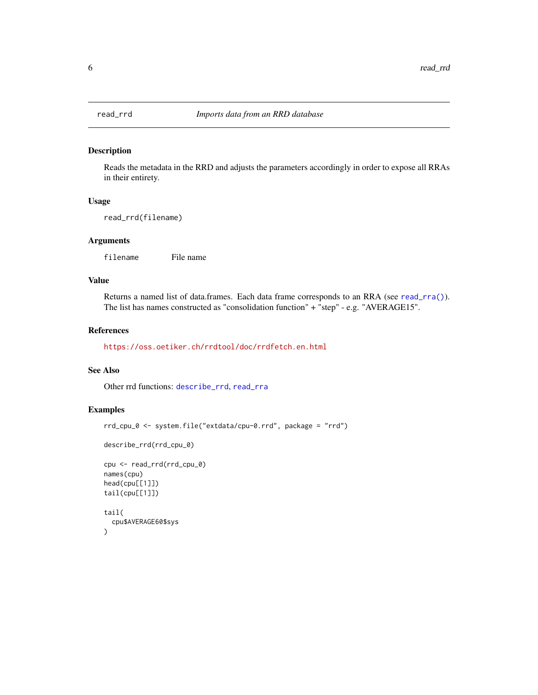<span id="page-5-1"></span><span id="page-5-0"></span>

#### Description

Reads the metadata in the RRD and adjusts the parameters accordingly in order to expose all RRAs in their entirety.

#### Usage

read\_rrd(filename)

#### Arguments

filename File name

#### Value

Returns a named list of data.frames. Each data frame corresponds to an RRA (see [read\\_rra\(\)](#page-3-1)). The list has names constructed as "consolidation function" + "step" - e.g. "AVERAGE15".

#### References

<https://oss.oetiker.ch/rrdtool/doc/rrdfetch.en.html>

#### See Also

Other rrd functions: [describe\\_rrd](#page-2-1), [read\\_rra](#page-3-1)

#### Examples

```
rrd_cpu_0 <- system.file("extdata/cpu-0.rrd", package = "rrd")
```

```
describe_rrd(rrd_cpu_0)
```

```
cpu <- read_rrd(rrd_cpu_0)
names(cpu)
head(cpu[[1]])
tail(cpu[[1]])
tail(
  cpu$AVERAGE60$sys
\overline{)}
```